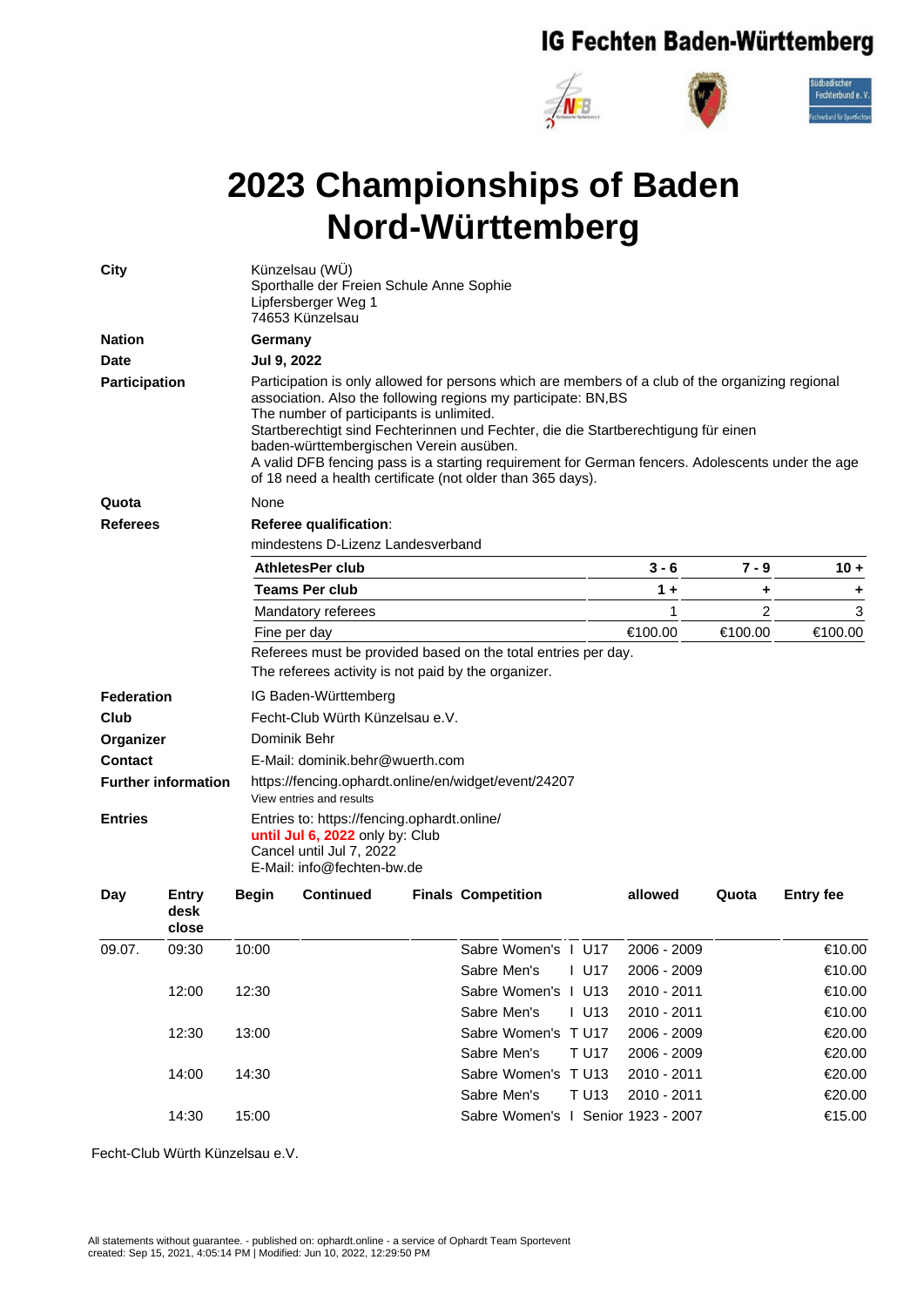## IG Fechten Baden-Württemberg



## **2023 Championships of Baden Nord-Württemberg**

| <b>City</b>                                  |                        | Künzelsau (WÜ)<br>Sporthalle der Freien Schule Anne Sophie<br>Lipfersberger Weg 1<br>74653 Künzelsau                                     |                                                                                                                                                                                                                                                                                                                                                                                                                                                                                                                  |  |                                    |             |                |                  |  |  |  |  |
|----------------------------------------------|------------------------|------------------------------------------------------------------------------------------------------------------------------------------|------------------------------------------------------------------------------------------------------------------------------------------------------------------------------------------------------------------------------------------------------------------------------------------------------------------------------------------------------------------------------------------------------------------------------------------------------------------------------------------------------------------|--|------------------------------------|-------------|----------------|------------------|--|--|--|--|
| <b>Nation</b>                                |                        |                                                                                                                                          | Germany                                                                                                                                                                                                                                                                                                                                                                                                                                                                                                          |  |                                    |             |                |                  |  |  |  |  |
| Date                                         |                        | Jul 9, 2022                                                                                                                              |                                                                                                                                                                                                                                                                                                                                                                                                                                                                                                                  |  |                                    |             |                |                  |  |  |  |  |
| <b>Participation</b>                         |                        |                                                                                                                                          | Participation is only allowed for persons which are members of a club of the organizing regional<br>association. Also the following regions my participate: BN,BS<br>The number of participants is unlimited.<br>Startberechtigt sind Fechterinnen und Fechter, die die Startberechtigung für einen<br>baden-württembergischen Verein ausüben.<br>A valid DFB fencing pass is a starting requirement for German fencers. Adolescents under the age<br>of 18 need a health certificate (not older than 365 days). |  |                                    |             |                |                  |  |  |  |  |
| Quota                                        |                        | None                                                                                                                                     |                                                                                                                                                                                                                                                                                                                                                                                                                                                                                                                  |  |                                    |             |                |                  |  |  |  |  |
| <b>Referees</b>                              |                        | Referee qualification:<br>mindestens D-Lizenz Landesverband                                                                              |                                                                                                                                                                                                                                                                                                                                                                                                                                                                                                                  |  |                                    |             |                |                  |  |  |  |  |
|                                              |                        |                                                                                                                                          | <b>AthletesPer club</b>                                                                                                                                                                                                                                                                                                                                                                                                                                                                                          |  |                                    |             | $7 - 9$        | $10 +$           |  |  |  |  |
|                                              |                        | <b>Teams Per club</b>                                                                                                                    |                                                                                                                                                                                                                                                                                                                                                                                                                                                                                                                  |  |                                    | $1 +$       | ٠              | ÷.               |  |  |  |  |
|                                              |                        | Mandatory referees                                                                                                                       |                                                                                                                                                                                                                                                                                                                                                                                                                                                                                                                  |  |                                    | 1           | $\overline{c}$ | 3                |  |  |  |  |
|                                              |                        | Fine per day                                                                                                                             |                                                                                                                                                                                                                                                                                                                                                                                                                                                                                                                  |  |                                    | €100.00     | €100.00        | €100.00          |  |  |  |  |
|                                              |                        |                                                                                                                                          | Referees must be provided based on the total entries per day.                                                                                                                                                                                                                                                                                                                                                                                                                                                    |  |                                    |             |                |                  |  |  |  |  |
|                                              |                        |                                                                                                                                          | The referees activity is not paid by the organizer.                                                                                                                                                                                                                                                                                                                                                                                                                                                              |  |                                    |             |                |                  |  |  |  |  |
| Federation                                   |                        | IG Baden-Württemberg                                                                                                                     |                                                                                                                                                                                                                                                                                                                                                                                                                                                                                                                  |  |                                    |             |                |                  |  |  |  |  |
| Club                                         |                        |                                                                                                                                          | Fecht-Club Würth Künzelsau e.V.                                                                                                                                                                                                                                                                                                                                                                                                                                                                                  |  |                                    |             |                |                  |  |  |  |  |
| Organizer                                    |                        |                                                                                                                                          | Dominik Behr                                                                                                                                                                                                                                                                                                                                                                                                                                                                                                     |  |                                    |             |                |                  |  |  |  |  |
| Contact                                      |                        | E-Mail: dominik.behr@wuerth.com                                                                                                          |                                                                                                                                                                                                                                                                                                                                                                                                                                                                                                                  |  |                                    |             |                |                  |  |  |  |  |
| <b>Further information</b><br><b>Entries</b> |                        |                                                                                                                                          | https://fencing.ophardt.online/en/widget/event/24207<br>View entries and results                                                                                                                                                                                                                                                                                                                                                                                                                                 |  |                                    |             |                |                  |  |  |  |  |
|                                              |                        | Entries to: https://fencing.ophardt.online/<br>until Jul 6, 2022 only by: Club<br>Cancel until Jul 7, 2022<br>E-Mail: info@fechten-bw.de |                                                                                                                                                                                                                                                                                                                                                                                                                                                                                                                  |  |                                    |             |                |                  |  |  |  |  |
| <b>Day</b>                                   | Entry<br>desk<br>close | <b>Begin</b>                                                                                                                             | <b>Continued</b>                                                                                                                                                                                                                                                                                                                                                                                                                                                                                                 |  | <b>Finals Competition</b>          | allowed     | Quota          | <b>Entry fee</b> |  |  |  |  |
| 09.07.                                       | 09:30                  | 10:00                                                                                                                                    |                                                                                                                                                                                                                                                                                                                                                                                                                                                                                                                  |  | Sabre Women's 1 U17                | 2006 - 2009 |                | €10.00           |  |  |  |  |
|                                              |                        |                                                                                                                                          |                                                                                                                                                                                                                                                                                                                                                                                                                                                                                                                  |  | Sabre Men's<br>I U17               | 2006 - 2009 |                | €10.00           |  |  |  |  |
|                                              | 12:00                  | 12:30                                                                                                                                    |                                                                                                                                                                                                                                                                                                                                                                                                                                                                                                                  |  | Sabre Women's I U13                | 2010 - 2011 |                | €10.00           |  |  |  |  |
|                                              |                        |                                                                                                                                          |                                                                                                                                                                                                                                                                                                                                                                                                                                                                                                                  |  | Sabre Men's<br>$I$ U13             | 2010 - 2011 |                | €10.00           |  |  |  |  |
|                                              | 12:30                  | 13:00                                                                                                                                    |                                                                                                                                                                                                                                                                                                                                                                                                                                                                                                                  |  | Sabre Women's T U17                | 2006 - 2009 |                | €20.00           |  |  |  |  |
|                                              |                        |                                                                                                                                          |                                                                                                                                                                                                                                                                                                                                                                                                                                                                                                                  |  | Sabre Men's<br>T U17               | 2006 - 2009 |                | €20.00           |  |  |  |  |
|                                              | 14:00                  | 14:30                                                                                                                                    |                                                                                                                                                                                                                                                                                                                                                                                                                                                                                                                  |  | Sabre Women's T U13                | 2010 - 2011 |                | €20.00           |  |  |  |  |
|                                              |                        |                                                                                                                                          |                                                                                                                                                                                                                                                                                                                                                                                                                                                                                                                  |  | T U13<br>Sabre Men's               | 2010 - 2011 |                | €20.00           |  |  |  |  |
|                                              | 14:30                  | 15:00                                                                                                                                    |                                                                                                                                                                                                                                                                                                                                                                                                                                                                                                                  |  | Sabre Women's I Senior 1923 - 2007 |             |                | €15.00           |  |  |  |  |

Fecht-Club Würth Künzelsau e.V.